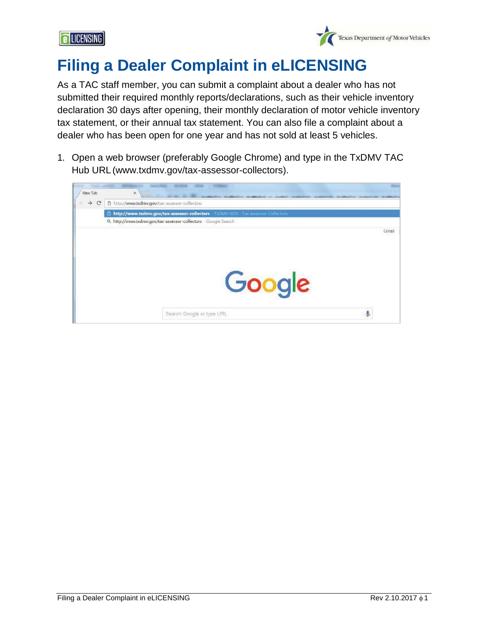



## **Filing a Dealer Complaint in eLICENSING**

As a TAC staff member, you can submit a complaint about a dealer who has not submitted their required monthly reports/declarations, such as their vehicle inventory declaration 30 days after opening, their monthly declaration of motor vehicle inventory tax statement, or their annual tax statement. You can also file a complaint about a dealer who has been open for one year and has not sold at least 5 vehicles.

1. Open a web browser (preferably Google Chrome) and type in the TxDMV TAC Hub URL [\(www.txdmv.gov/tax-assessor-collectors\).](https://www.txdmv.gov/tax-assessor-collectors)

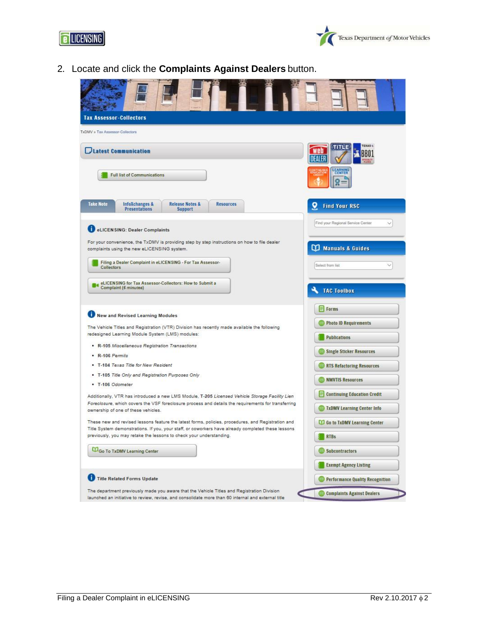



2. Locate and click the **Complaints Against Dealers** button.

| <b>Tax Assessor-Collectors</b>                                                                                                                                                                                                                |                                       |
|-----------------------------------------------------------------------------------------------------------------------------------------------------------------------------------------------------------------------------------------------|---------------------------------------|
| TxDMV > Tax Assessor-Collectors                                                                                                                                                                                                               |                                       |
| <b>Latest Communication</b>                                                                                                                                                                                                                   |                                       |
| <b>Full list of Communications</b>                                                                                                                                                                                                            | CENTER                                |
| <b>Take Note</b><br><b>Release Notes &amp;</b><br><b>InfoXchanges &amp;</b><br><b>Resources</b><br><b>Presentations</b><br><b>Support</b>                                                                                                     | <b>Find Your RSC</b>                  |
| eLICEN SING: Dealer Complaints                                                                                                                                                                                                                | Find your Regional Service Center     |
| For your convenience, the TxDMV is providing step by step instructions on how to file dealer<br>complaints using the new eLICENSING system.                                                                                                   | <b>CO</b> Manuals & Guides            |
| Filing a Dealer Complaint in eLICENSING - For Tax Assessor-<br>Collectors                                                                                                                                                                     | Select from list                      |
| eLICENSING for Tax Assessor-Collectors: How to Submit a<br>Complaint (6 minutes)                                                                                                                                                              | <b>TAC Toolbox</b>                    |
|                                                                                                                                                                                                                                               | Forms                                 |
| New and Revised Learning Modules                                                                                                                                                                                                              |                                       |
| The Vehicle Titles and Registration (VTR) Division has recently made available the following                                                                                                                                                  | <b>Photo ID Requirements</b>          |
| redesigned Learning Module System (LMS) modules:                                                                                                                                                                                              | <b>Publications</b>                   |
| R-105 Miscellaneous Registration Transactions                                                                                                                                                                                                 | <b>Single Sticker Resources</b>       |
| - R-106 Permits                                                                                                                                                                                                                               |                                       |
| . T-104 Texas Title for New Resident                                                                                                                                                                                                          | RTS Refactoring Resources             |
| . T-105 Title Only and Registration Purposes Only<br>- T-106 Odometer                                                                                                                                                                         | <b>NMVTIS Resources</b>               |
|                                                                                                                                                                                                                                               | <b>Continuing Education Credit</b>    |
| Additionally, VTR has introduced a new LMS Module, T-205 Licensed Vehicle Storage Facility Lien<br>Foreclosure, which covers the VSF foreclosure process and details the requirements for transferring<br>ownership of one of these vehicles. | TxDMV Learning Center Info            |
| These new and revised lessons feature the latest forms, policies, procedures, and Registration and                                                                                                                                            | <b>CO</b> Go to TxDMV Learning Center |
| Title System demonstrations. If you, your staff, or coworkers have already completed these lessons<br>previously, you may retake the lessons to check your understanding.                                                                     | <b>RTBs</b>                           |
| Go To TxDMV Learning Center                                                                                                                                                                                                                   | Subcontractors                        |
|                                                                                                                                                                                                                                               | <b>Exempt Agency Listing</b>          |
| Title Related Forms Update                                                                                                                                                                                                                    | Performance Quality Recognition       |
| The department previously made you aware that the Vehicle Titles and Registration Division<br>launched an initiative to review, revise, and consolidate more than 60 internal and external title                                              | <b>Complaints Against Dealers</b>     |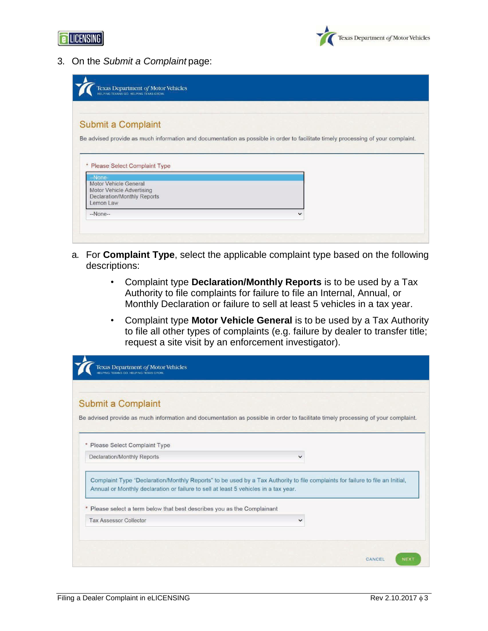



3. On the *Submit a Complaint* page:

| Texas Department of Motor Vehicles<br>HELPING TEXANS GO. HELPING TEXAS GROW. |                                                                                                                                  |
|------------------------------------------------------------------------------|----------------------------------------------------------------------------------------------------------------------------------|
| Submit a Complaint                                                           |                                                                                                                                  |
|                                                                              | Be advised provide as much information and documentation as possible in order to facilitate timely processing of your complaint. |
|                                                                              |                                                                                                                                  |
|                                                                              |                                                                                                                                  |
| * Please Select Complaint Type                                               |                                                                                                                                  |
| -None-                                                                       |                                                                                                                                  |
| <b>Motor Vehicle General</b>                                                 |                                                                                                                                  |
| Motor Vehicle Advertising<br>Declaration/Monthly Reports                     |                                                                                                                                  |
| Lemon Law                                                                    |                                                                                                                                  |
| $-None-$                                                                     | $\checkmark$                                                                                                                     |

- a. For **Complaint Type**, select the applicable complaint type based on the following descriptions:
	- Complaint type **Declaration/Monthly Reports** is to be used by a Tax Authority to file complaints for failure to file an Internal, Annual, or Monthly Declaration or failure to sell at least 5 vehicles in a tax year.
	- Complaint type **Motor Vehicle General** is to be used by a Tax Authority to file all other types of complaints (e.g. failure by dealer to transfer title; request a site visit by an enforcement investigator).

|                                | Submit a Complaint                                                                  |                                                                                                                                  |  |
|--------------------------------|-------------------------------------------------------------------------------------|----------------------------------------------------------------------------------------------------------------------------------|--|
|                                |                                                                                     | Be advised provide as much information and documentation as possible in order to facilitate timely processing of your complaint. |  |
| * Please Select Complaint Type |                                                                                     |                                                                                                                                  |  |
| Declaration/Monthly Reports    |                                                                                     | $\checkmark$                                                                                                                     |  |
|                                | Annual or Monthly declaration or failure to sell at least 5 vehicles in a tax year. | Complaint Type "Declaration/Monthly Reports" to be used by a Tax Authority to file complaints for failure to file an Initial,    |  |
|                                |                                                                                     |                                                                                                                                  |  |
|                                | * Please select a term below that best describes you as the Complainant             |                                                                                                                                  |  |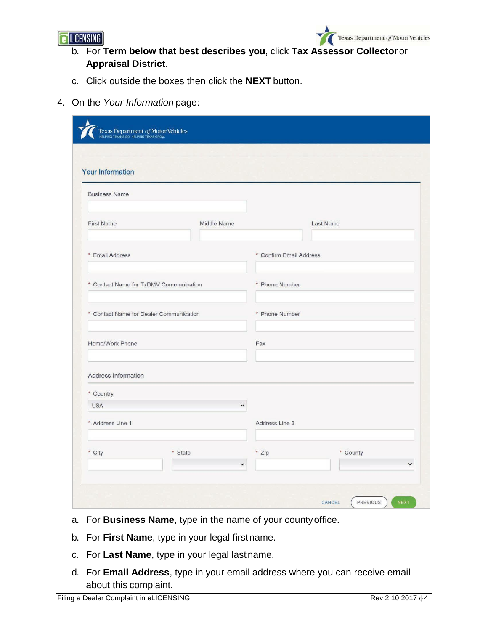



- b. For **Term below that best describes you**, click **Tax Assessor Collector**or **Appraisal District**.
- c. Click outside the boxes then click the **NEXT** button.
- 4. On the *Your Information* page:

| Your Information                        |              |                         |                  |  |
|-----------------------------------------|--------------|-------------------------|------------------|--|
| <b>Business Name</b>                    |              |                         |                  |  |
| <b>First Name</b>                       | Middle Name  |                         | <b>Last Name</b> |  |
| * Email Address                         |              | * Confirm Email Address |                  |  |
| * Contact Name for TxDMV Communication  |              | * Phone Number          |                  |  |
| * Contact Name for Dealer Communication |              | * Phone Number          |                  |  |
| Home/Work Phone                         |              | Fax                     |                  |  |
| Address Information                     |              |                         |                  |  |
| * Country                               |              |                         |                  |  |
| <b>USA</b>                              | $\checkmark$ |                         |                  |  |
| * Address Line 1                        |              | Address Line 2          |                  |  |
|                                         |              | * Zip                   | * County         |  |

- a. For **Business Name**, type in the name of your countyoffice.
- b. For **First Name**, type in your legal firstname.
- c. For **Last Name**, type in your legal lastname.
- d. For **Email Address**, type in your email address where you can receive email about this complaint.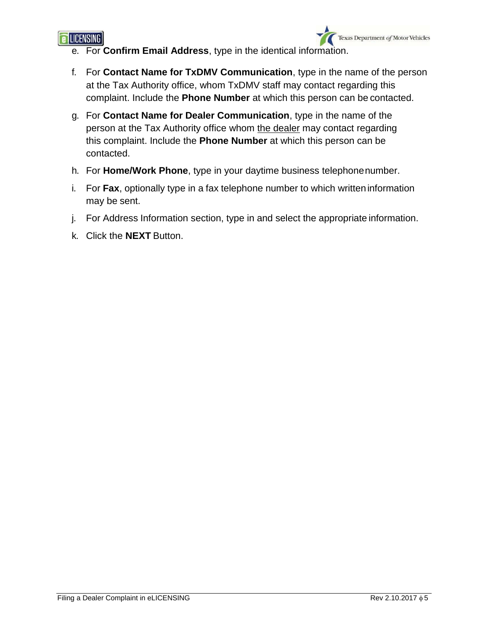

- e. For **Confirm Email Address**, type in the identical information.
- f. For **Contact Name for TxDMV Communication**, type in the name of the person at the Tax Authority office, whom TxDMV staff may contact regarding this complaint. Include the **Phone Number** at which this person can be contacted.
- g. For **Contact Name for Dealer Communication**, type in the name of the person at the Tax Authority office whom the dealer may contact regarding this complaint. Include the **Phone Number** at which this person can be contacted.
- h. For **Home/Work Phone**, type in your daytime business telephonenumber.
- i. For **Fax**, optionally type in a fax telephone number to which writteninformation may be sent.
- j. For Address Information section, type in and select the appropriate information.
- k. Click the **NEXT** Button.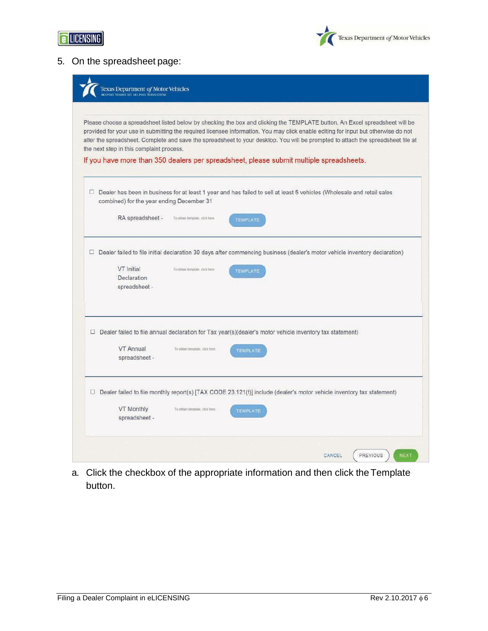



## 5. On the spreadsheet page:

| Please choose a spreadsheet listed below by checking the box and clicking the TEMPLATE button. An Excel spreadsheet will be<br>provided for your use in submitting the required licensee information. You may click enable editing for input but otherwise do not<br>alter the spreadsheet. Complete and save the spreadsheet to your desktop. You will be prompted to attach the spreadsheet file at<br>the next step in this complaint process. |
|---------------------------------------------------------------------------------------------------------------------------------------------------------------------------------------------------------------------------------------------------------------------------------------------------------------------------------------------------------------------------------------------------------------------------------------------------|
| If you have more than 350 dealers per spreadsheet, please submit multiple spreadsheets.                                                                                                                                                                                                                                                                                                                                                           |
| □ Dealer has been in business for at least 1 year and has failed to sell at least 5 vehicles (Wholesale and retail sales<br>combined) for the year ending December 31                                                                                                                                                                                                                                                                             |
| RA spreadsheet -<br>To obtain template, click here<br>TEMPLATE                                                                                                                                                                                                                                                                                                                                                                                    |
| □ Dealer failed to file initial declaration 30 days after commencing business (dealer's motor vehicle inventory declaration)<br>VT Initial<br>To obtain template, click here<br><b>TEMPLATE</b><br>Declaration<br>spreadsheet -                                                                                                                                                                                                                   |
| $\Box$ Dealer failed to file annual declaration for Tax year(s)(dealer's motor vehicle inventory tax statement)<br>VT Annual<br>To obtain template, click here<br><b>TEMPLATE</b><br>spreadsheet -                                                                                                                                                                                                                                                |
| $\Box$ Dealer failed to file monthly report(s) [TAX CODE 23.121(f)] include (dealer's motor vehicle inventory tax statement)                                                                                                                                                                                                                                                                                                                      |
| <b>VT Monthly</b><br>To obtain template, click here.<br><b>TEMPLATE</b>                                                                                                                                                                                                                                                                                                                                                                           |

a. Click the checkbox of the appropriate information and then click theTemplate button.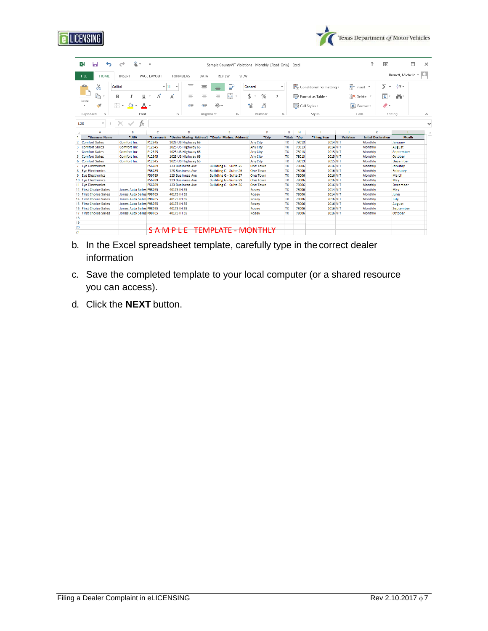| Barnett, Michelle *<br>Em Insert *<br>$\frac{A}{7}$ .<br>Σ<br>部:<br> ⊕ ∗<br>Format -<br>s.<br>Editing<br>K<br><b>Initial Declaration</b><br><b>Month</b> |
|----------------------------------------------------------------------------------------------------------------------------------------------------------|
|                                                                                                                                                          |
|                                                                                                                                                          |
|                                                                                                                                                          |
|                                                                                                                                                          |
|                                                                                                                                                          |
|                                                                                                                                                          |
|                                                                                                                                                          |
|                                                                                                                                                          |
| Monthly<br>January                                                                                                                                       |
| Monthly<br>August                                                                                                                                        |
| Monthly<br>September                                                                                                                                     |
| October<br>Monthly                                                                                                                                       |
| Monthly<br>December                                                                                                                                      |
| Monthly<br>January                                                                                                                                       |
| Monthly<br>February                                                                                                                                      |
| March<br>Monthly                                                                                                                                         |
| May<br>Monthly                                                                                                                                           |
| Monthly<br>December                                                                                                                                      |
| Monthly<br>May                                                                                                                                           |
| June<br>Monthly                                                                                                                                          |
| July<br>Monthly                                                                                                                                          |
| Monthly<br>August                                                                                                                                        |
| Monthly<br>September                                                                                                                                     |
| Monthly<br>October                                                                                                                                       |
|                                                                                                                                                          |
|                                                                                                                                                          |

- b. In the Excel spreadsheet template, carefully type in thecorrect dealer information
- c. Save the completed template to your local computer (or a shared resource you can access).
- d. Click the **NEXT** button.

Texas Department of Motor Vehicles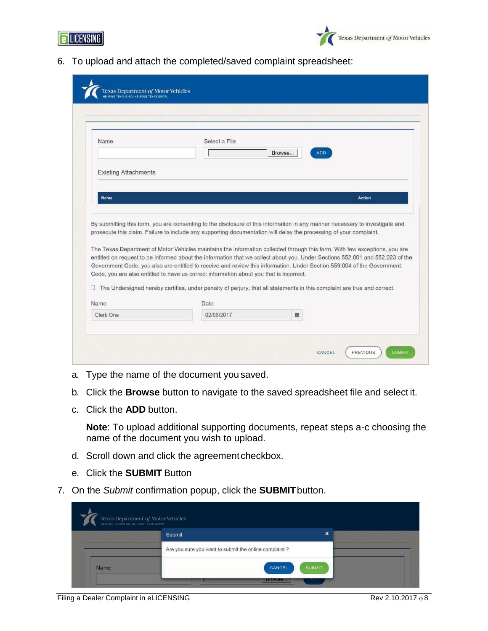



6. To upload and attach the completed/saved complaint spreadsheet:

| Name                        | Select a File<br>Browse<br><b>ADD</b>                                                                                                                                                                                                                                                                                                                                                                                                                                                                                                                                                                                                                                                                                                                                                                                                                                            |  |
|-----------------------------|----------------------------------------------------------------------------------------------------------------------------------------------------------------------------------------------------------------------------------------------------------------------------------------------------------------------------------------------------------------------------------------------------------------------------------------------------------------------------------------------------------------------------------------------------------------------------------------------------------------------------------------------------------------------------------------------------------------------------------------------------------------------------------------------------------------------------------------------------------------------------------|--|
| <b>Existing Attachments</b> |                                                                                                                                                                                                                                                                                                                                                                                                                                                                                                                                                                                                                                                                                                                                                                                                                                                                                  |  |
|                             |                                                                                                                                                                                                                                                                                                                                                                                                                                                                                                                                                                                                                                                                                                                                                                                                                                                                                  |  |
| <b>Name</b>                 | <b>Action</b>                                                                                                                                                                                                                                                                                                                                                                                                                                                                                                                                                                                                                                                                                                                                                                                                                                                                    |  |
|                             |                                                                                                                                                                                                                                                                                                                                                                                                                                                                                                                                                                                                                                                                                                                                                                                                                                                                                  |  |
| Name                        | By submitting this form, you are consenting to the disclosure of this information in any manner necessary to investigate and<br>prosecute this claim. Failure to include any supporting documentation will delay the processing of your complaint.<br>The Texas Department of Motor Vehicles maintains the information collected through this form. With few exceptions, you are<br>entitled on request to be informed about the information that we collect about you. Under Sections 552.001 and 552.023 of the<br>Government Code, you also are entitled to receive and review this information. Under Section 559,004 of the Government<br>Code, you are also entitled to have us correct information about you that is incorrect.<br>$\Box$ The Undersigned hereby certifies, under penalty of perjury, that all statements in this complaint are true and correct.<br>Date |  |

- a. Type the name of the document you saved.
- b. Click the **Browse** button to navigate to the saved spreadsheet file and select it.
- c. Click the **ADD** button.

**Note**: To upload additional supporting documents, repeat steps a-c choosing the name of the document you wish to upload.

- d. Scroll down and click the agreement checkbox.
- e. Click the **SUBMIT** Button
- 7. On the *Submit* confirmation popup, click the **SUBMIT**button.

|      | Texas Department of Motor Vehicles                    |               |
|------|-------------------------------------------------------|---------------|
|      | Submit                                                | ×             |
|      | Are you sure you want to submit the online complaint? |               |
| Name | CANCEL                                                | <b>SUBMIT</b> |
|      | <b>BIOWSE.</b>                                        | <b>AUU</b>    |